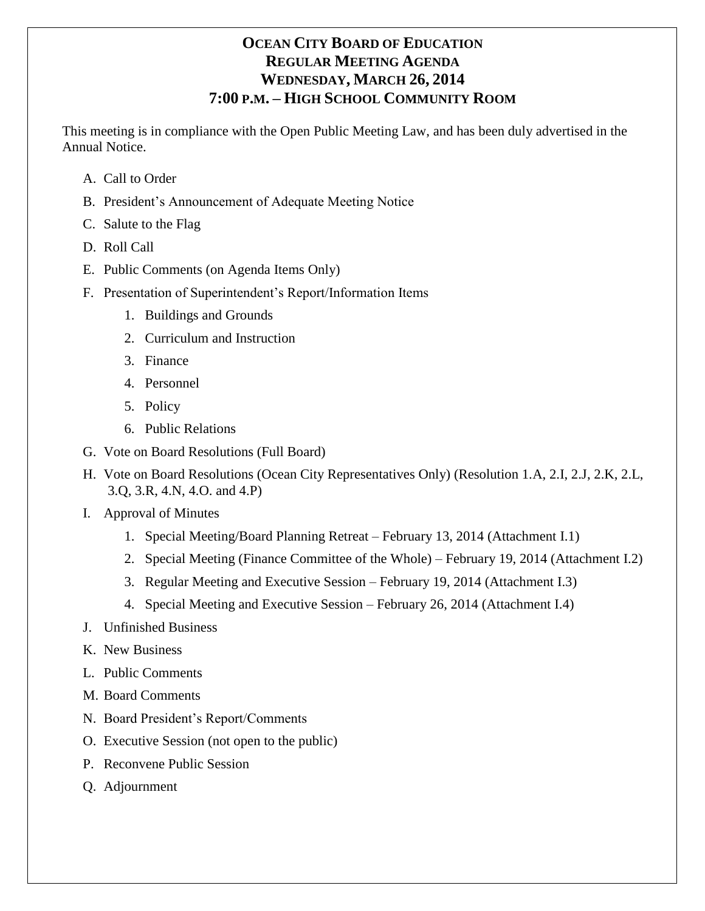# **OCEAN CITY BOARD OF EDUCATION REGULAR MEETING AGENDA WEDNESDAY, MARCH 26, 2014 7:00 P.M. – HIGH SCHOOL COMMUNITY ROOM**

This meeting is in compliance with the Open Public Meeting Law, and has been duly advertised in the Annual Notice.

- A. Call to Order
- B. President's Announcement of Adequate Meeting Notice
- C. Salute to the Flag
- D. Roll Call
- E. Public Comments (on Agenda Items Only)
- F. Presentation of Superintendent's Report/Information Items
	- 1. Buildings and Grounds
	- 2. Curriculum and Instruction
	- 3. Finance
	- 4. Personnel
	- 5. Policy
	- 6. Public Relations
- G. Vote on Board Resolutions (Full Board)
- H. Vote on Board Resolutions (Ocean City Representatives Only) (Resolution 1.A, 2.I, 2.J, 2.K, 2.L, 3.Q, 3.R, 4.N, 4.O. and 4.P)
- I. Approval of Minutes
	- 1. Special Meeting/Board Planning Retreat February 13, 2014 (Attachment I.1)
	- 2. Special Meeting (Finance Committee of the Whole) February 19, 2014 (Attachment I.2)
	- 3. Regular Meeting and Executive Session February 19, 2014 (Attachment I.3)
	- 4. Special Meeting and Executive Session February 26, 2014 (Attachment I.4)
- J. Unfinished Business
- K. New Business
- L. Public Comments
- M. Board Comments
- N. Board President's Report/Comments
- O. Executive Session (not open to the public)
- P. Reconvene Public Session
- Q. Adjournment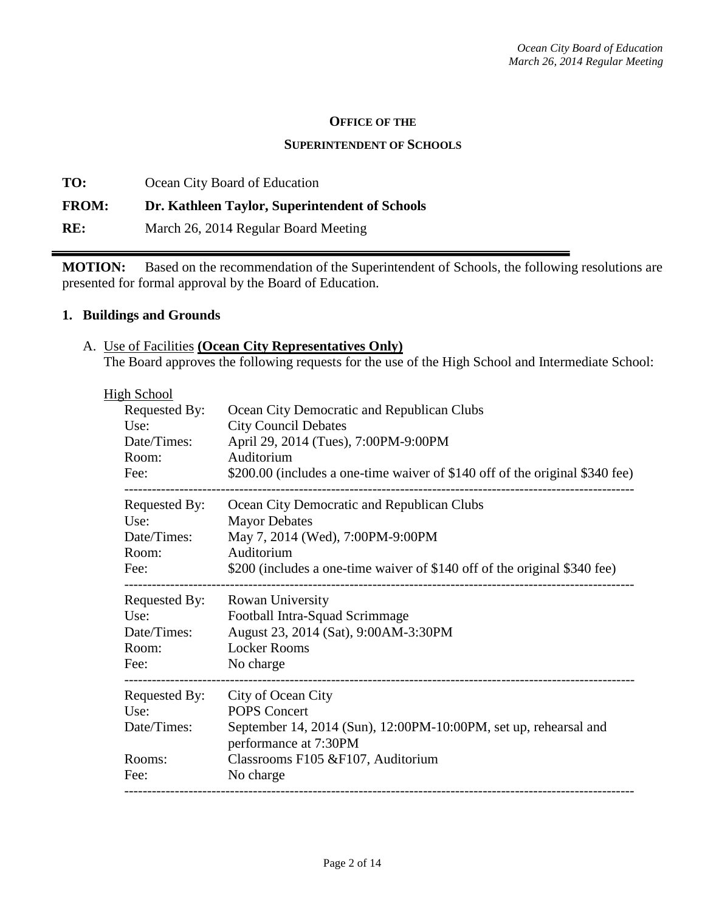#### **OFFICE OF THE**

#### **SUPERINTENDENT OF SCHOOLS**

**TO:** Ocean City Board of Education **FROM: Dr. Kathleen Taylor, Superintendent of Schools RE:** March 26, 2014 Regular Board Meeting

**MOTION:** Based on the recommendation of the Superintendent of Schools, the following resolutions are presented for formal approval by the Board of Education.

#### **1. Buildings and Grounds**

A. Use of Facilities **(Ocean City Representatives Only)** The Board approves the following requests for the use of the High School and Intermediate School:

| <b>High School</b>          |                                                                                           |
|-----------------------------|-------------------------------------------------------------------------------------------|
| Requested By:               | Ocean City Democratic and Republican Clubs                                                |
| Use:                        | <b>City Council Debates</b>                                                               |
| Date/Times:                 | April 29, 2014 (Tues), 7:00PM-9:00PM                                                      |
| Room:                       | Auditorium                                                                                |
| Fee:                        | \$200.00 (includes a one-time waiver of \$140 off of the original \$340 fee)              |
| Requested By:               | Ocean City Democratic and Republican Clubs                                                |
| Use:                        | <b>Mayor Debates</b>                                                                      |
| Date/Times:                 | May 7, 2014 (Wed), 7:00PM-9:00PM                                                          |
| Room:                       | Auditorium                                                                                |
| Fee:                        | \$200 (includes a one-time waiver of \$140 off of the original \$340 fee)                 |
|                             | Requested By: Rowan University                                                            |
| Use:                        | Football Intra-Squad Scrimmage                                                            |
| Date/Times:                 | August 23, 2014 (Sat), 9:00AM-3:30PM                                                      |
| Room:                       | <b>Locker Rooms</b>                                                                       |
| Fee:<br>------------------- | No charge                                                                                 |
| Requested By:               | City of Ocean City                                                                        |
| Use:                        | <b>POPS Concert</b>                                                                       |
| Date/Times:                 | September 14, 2014 (Sun), 12:00PM-10:00PM, set up, rehearsal and<br>performance at 7:30PM |
| Rooms:                      | Classrooms F105 & F107, Auditorium                                                        |
| Fee:                        | No charge                                                                                 |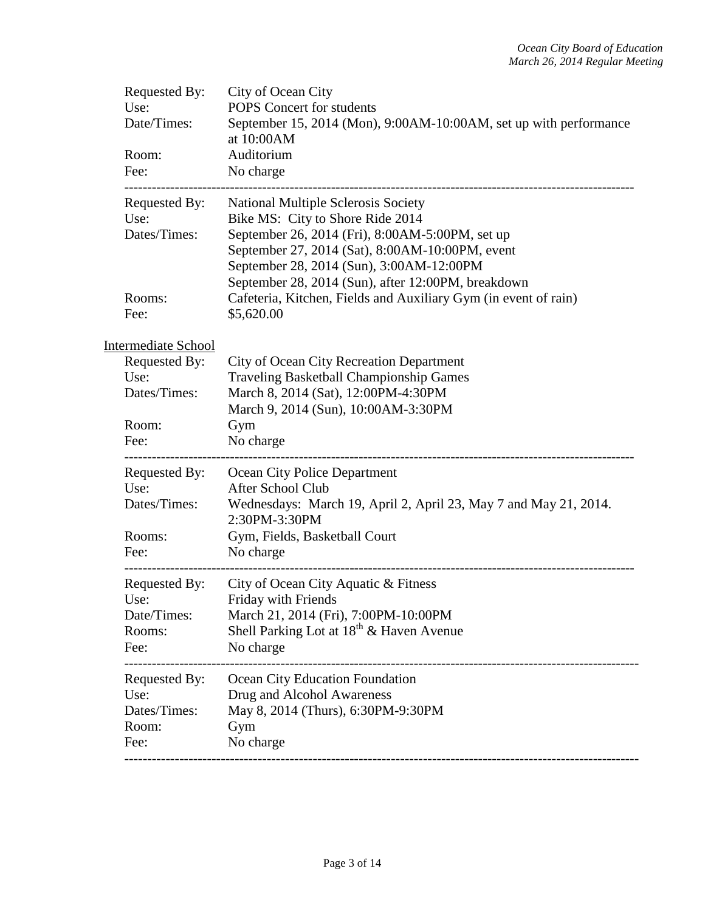| Requested By:<br>Use:<br>Date/Times:<br>Room:<br>Fee:  | City of Ocean City<br>POPS Concert for students<br>September 15, 2014 (Mon), 9:00AM-10:00AM, set up with performance<br>at 10:00AM<br>Auditorium<br>No charge                                                                                                                   |
|--------------------------------------------------------|---------------------------------------------------------------------------------------------------------------------------------------------------------------------------------------------------------------------------------------------------------------------------------|
| Requested By:<br>Use:<br>Dates/Times:                  | National Multiple Sclerosis Society<br>Bike MS: City to Shore Ride 2014<br>September 26, 2014 (Fri), 8:00AM-5:00PM, set up<br>September 27, 2014 (Sat), 8:00AM-10:00PM, event<br>September 28, 2014 (Sun), 3:00AM-12:00PM<br>September 28, 2014 (Sun), after 12:00PM, breakdown |
| Rooms:<br>Fee:                                         | Cafeteria, Kitchen, Fields and Auxiliary Gym (in event of rain)<br>\$5,620.00                                                                                                                                                                                                   |
| <b>Intermediate School</b><br>Requested By:<br>Use:    | <b>City of Ocean City Recreation Department</b><br><b>Traveling Basketball Championship Games</b>                                                                                                                                                                               |
| Dates/Times:<br>Room:                                  | March 8, 2014 (Sat), 12:00PM-4:30PM<br>March 9, 2014 (Sun), 10:00AM-3:30PM<br>Gym                                                                                                                                                                                               |
| Fee:<br>---------------                                | No charge                                                                                                                                                                                                                                                                       |
| Requested By:<br>Use:<br>Dates/Times:                  | Ocean City Police Department<br>After School Club<br>Wednesdays: March 19, April 2, April 23, May 7 and May 21, 2014.<br>2:30PM-3:30PM                                                                                                                                          |
| Rooms:<br>Fee:                                         | Gym, Fields, Basketball Court<br>No charge                                                                                                                                                                                                                                      |
| Requested By:<br>Use:<br>Date/Times:<br>Rooms:<br>Fee: | City of Ocean City Aquatic & Fitness<br>Friday with Friends<br>March 21, 2014 (Fri), 7:00PM-10:00PM<br>Shell Parking Lot at $18^{th}$ & Haven Avenue<br>No charge                                                                                                               |
| Requested By:<br>Use:<br>Dates/Times:<br>Room:<br>Fee: | Ocean City Education Foundation<br>Drug and Alcohol Awareness<br>May 8, 2014 (Thurs), 6:30PM-9:30PM<br>Gym<br>No charge                                                                                                                                                         |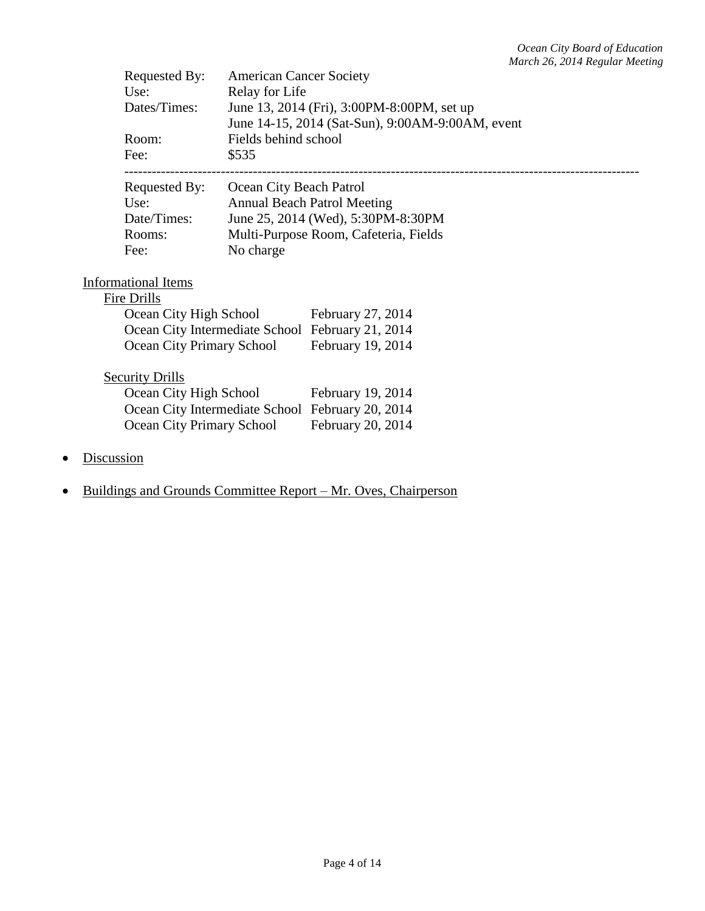| Requested By:              | <b>American Cancer Society</b> |                                                  |
|----------------------------|--------------------------------|--------------------------------------------------|
| Use:                       | Relay for Life                 |                                                  |
| Dates/Times:               |                                | June 13, 2014 (Fri), 3:00PM-8:00PM, set up       |
|                            |                                | June 14-15, 2014 (Sat-Sun), 9:00AM-9:00AM, event |
| Room:                      | Fields behind school           |                                                  |
| Fee:                       | \$535                          |                                                  |
| Requested By:              | Ocean City Beach Patrol        |                                                  |
| Use:                       |                                | <b>Annual Beach Patrol Meeting</b>               |
| Date/Times:                |                                | June 25, 2014 (Wed), 5:30PM-8:30PM               |
| Rooms:                     |                                | Multi-Purpose Room, Cafeteria, Fields            |
| Fee:                       | No charge                      |                                                  |
|                            |                                |                                                  |
| <b>Informational Items</b> |                                |                                                  |
| Fire Drills                |                                |                                                  |
| Ocean City High School     |                                | February 27, 2014                                |
|                            |                                | Ocean City Intermediate School February 21, 2014 |
| Ocean City Primary School  |                                | February 19, 2014                                |
| <b>Security Drills</b>     |                                |                                                  |
| Ocean City High School     |                                | February 19, 2014                                |
|                            |                                | Ocean City Intermediate School February 20, 2014 |
| Ocean City Primary School  |                                | February 20, 2014                                |
|                            |                                |                                                  |
| Discussion                 |                                |                                                  |

• Buildings and Grounds Committee Report – Mr. Oves, Chairperson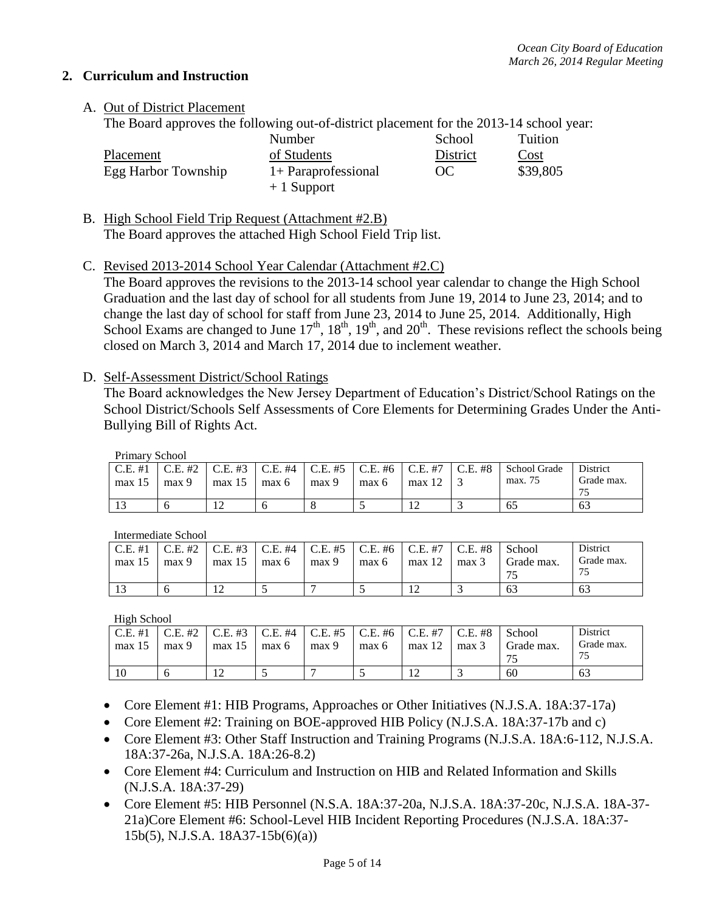### **2. Curriculum and Instruction**

## A. Out of District Placement

The Board approves the following out-of-district placement for the 2013-14 school year:

|                     | Number                | School    | Tuition  |
|---------------------|-----------------------|-----------|----------|
| Placement           | of Students           | District  | Cost     |
| Egg Harbor Township | $1+$ Paraprofessional | <b>OC</b> | \$39,805 |
|                     | $+1$ Support          |           |          |

B. High School Field Trip Request (Attachment #2.B) The Board approves the attached High School Field Trip list.

### C. Revised 2013-2014 School Year Calendar (Attachment #2.C)

The Board approves the revisions to the 2013-14 school year calendar to change the High School Graduation and the last day of school for all students from June 19, 2014 to June 23, 2014; and to change the last day of school for staff from June 23, 2014 to June 25, 2014. Additionally, High School Exams are changed to June  $17^{th}$ ,  $18^{th}$ ,  $19^{th}$ , and  $20^{th}$ . These revisions reflect the schools being closed on March 3, 2014 and March 17, 2014 due to inclement weather.

### D. Self-Assessment District/School Ratings

The Board acknowledges the New Jersey Department of Education's District/School Ratings on the School District/Schools Self Assessments of Core Elements for Determining Grades Under the Anti-Bullying Bill of Rights Act.

Primary School

| THERE & PORTOOL |         |            |                                 |       |                               |            |            |              |                          |
|-----------------|---------|------------|---------------------------------|-------|-------------------------------|------------|------------|--------------|--------------------------|
| $C.E. \#1$      | C.E. #2 | $C.E. \#3$ | $\vert$ C.E. #4 $\vert$ C.E. #5 |       | $\mid$ C.E. #6 $\mid$ C.E. #7 |            | $C.E. \#8$ | School Grade | District                 |
| max 15          | max 9   | max 15     | max 6                           | max 9 | max 6                         | max 1∠     |            | max. 75      | Grade max.               |
|                 |         |            |                                 |       |                               |            |            |              | $\overline{\phantom{a}}$ |
|                 |         | $\sim$     |                                 |       |                               | $\sqrt{2}$ |            | 65           | 63                       |

Intermediate School

| $C.E. \#1$ | C.E. #2 | $\mid$ C.E. #3   |       |       | C.E. #4   C.E. #5   C.E. #6   C.E. #7 |            | C.E. #8 | School     | District   |
|------------|---------|------------------|-------|-------|---------------------------------------|------------|---------|------------|------------|
| max 15     | max 9   | max 15           | max 6 | max 9 | max 6                                 | max 12     | max 3   | Grade max. | Grade max. |
|            |         |                  |       |       |                                       |            |         | 75         | 75         |
|            |         | $\mathsf{1}\cap$ |       |       |                                       | $\sqrt{2}$ |         | 63         | 63         |

High School

| $C.E. \#1$ | $C.E. \#2$ | $C.E. \#3$ | $\lfloor$ C.E. #4 $\rfloor$ | $C.E. \#5$ | $\mid$ C.E. #6 $\mid$ | $C.E. \#7$ | $C.E. \#8$ | School     | District   |
|------------|------------|------------|-----------------------------|------------|-----------------------|------------|------------|------------|------------|
| max 15     | max 9      | max 15     | max 6                       | max 9      | max 6                 | max 12     | max 3      | Grade max. | Grade max. |
| 10         | O          |            |                             |            |                       | 12         |            | 60         | 63         |

- Core Element #1: HIB Programs, Approaches or Other Initiatives (N.J.S.A. 18A:37-17a)
- Core Element #2: Training on BOE-approved HIB Policy (N.J.S.A. 18A:37-17b and c)
- Core Element #3: Other Staff Instruction and Training Programs (N.J.S.A. 18A:6-112, N.J.S.A. 18A:37-26a, N.J.S.A. 18A:26-8.2)
- Core Element #4: Curriculum and Instruction on HIB and Related Information and Skills (N.J.S.A. 18A:37-29)
- Core Element #5: HIB Personnel (N.S.A. 18A:37-20a, N.J.S.A. 18A:37-20c, N.J.S.A. 18A-37- 21a)Core Element #6: School-Level HIB Incident Reporting Procedures (N.J.S.A. 18A:37- 15b(5), N.J.S.A. 18A37-15b(6)(a))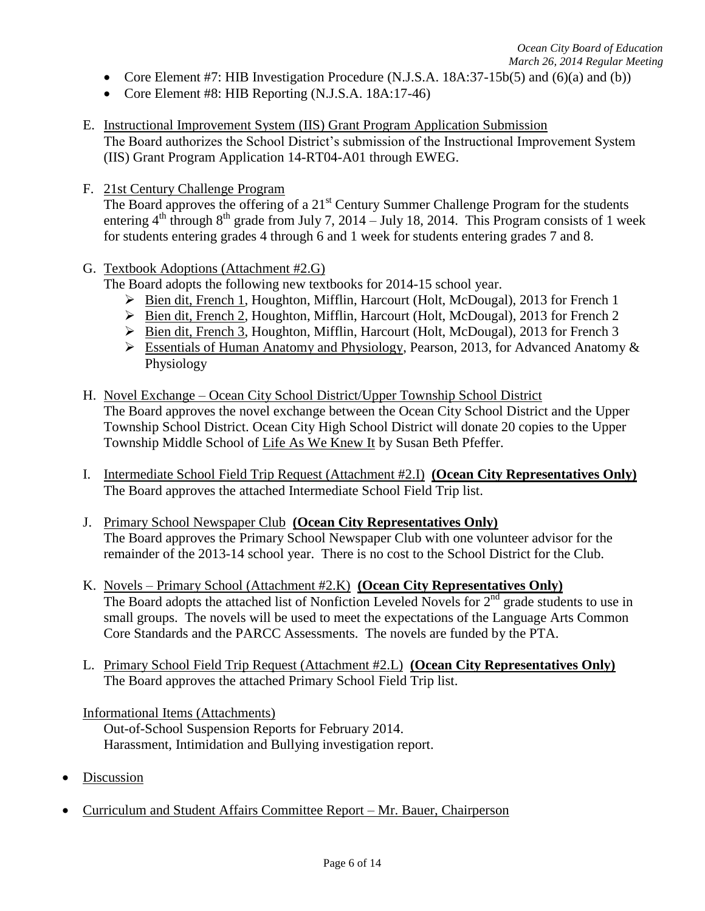- Core Element #7: HIB Investigation Procedure  $(N.J.S.A. 18A:37-15b(5)$  and  $(6)(a)$  and  $(b))$
- Core Element #8: HIB Reporting (N.J.S.A. 18A:17-46)
- E. Instructional Improvement System (IIS) Grant Program Application Submission The Board authorizes the School District's submission of the Instructional Improvement System (IIS) Grant Program Application 14-RT04-A01 through EWEG.
- F. 21st Century Challenge Program

The Board approves the offering of a 21<sup>st</sup> Century Summer Challenge Program for the students entering  $4<sup>th</sup>$  through  $8<sup>th</sup>$  grade from July 7, 2014 – July 18, 2014. This Program consists of 1 week for students entering grades 4 through 6 and 1 week for students entering grades 7 and 8.

G. Textbook Adoptions (Attachment #2.G)

The Board adopts the following new textbooks for 2014-15 school year.

- Bien dit, French 1, Houghton, Mifflin, Harcourt (Holt, McDougal), 2013 for French 1
- Bien dit, French 2, Houghton, Mifflin, Harcourt (Holt, McDougal), 2013 for French 2
- Bien dit, French 3, Houghton, Mifflin, Harcourt (Holt, McDougal), 2013 for French 3
- Essentials of Human Anatomy and Physiology, Pearson, 2013, for Advanced Anatomy & Physiology
- H. Novel Exchange Ocean City School District/Upper Township School District The Board approves the novel exchange between the Ocean City School District and the Upper Township School District. Ocean City High School District will donate 20 copies to the Upper Township Middle School of Life As We Knew It by Susan Beth Pfeffer.
- I. Intermediate School Field Trip Request (Attachment #2.I) **(Ocean City Representatives Only)** The Board approves the attached Intermediate School Field Trip list.
- J. Primary School Newspaper Club **(Ocean City Representatives Only)** The Board approves the Primary School Newspaper Club with one volunteer advisor for the remainder of the 2013-14 school year. There is no cost to the School District for the Club.
- K. Novels Primary School (Attachment #2.K) **(Ocean City Representatives Only)** The Board adopts the attached list of Nonfiction Leveled Novels for  $2<sup>nd</sup>$  grade students to use in small groups. The novels will be used to meet the expectations of the Language Arts Common Core Standards and the PARCC Assessments. The novels are funded by the PTA.
- L. Primary School Field Trip Request (Attachment #2.L) **(Ocean City Representatives Only)** The Board approves the attached Primary School Field Trip list.

Informational Items (Attachments)

Out-of-School Suspension Reports for February 2014. Harassment, Intimidation and Bullying investigation report.

- Discussion
- Curriculum and Student Affairs Committee Report Mr. Bauer, Chairperson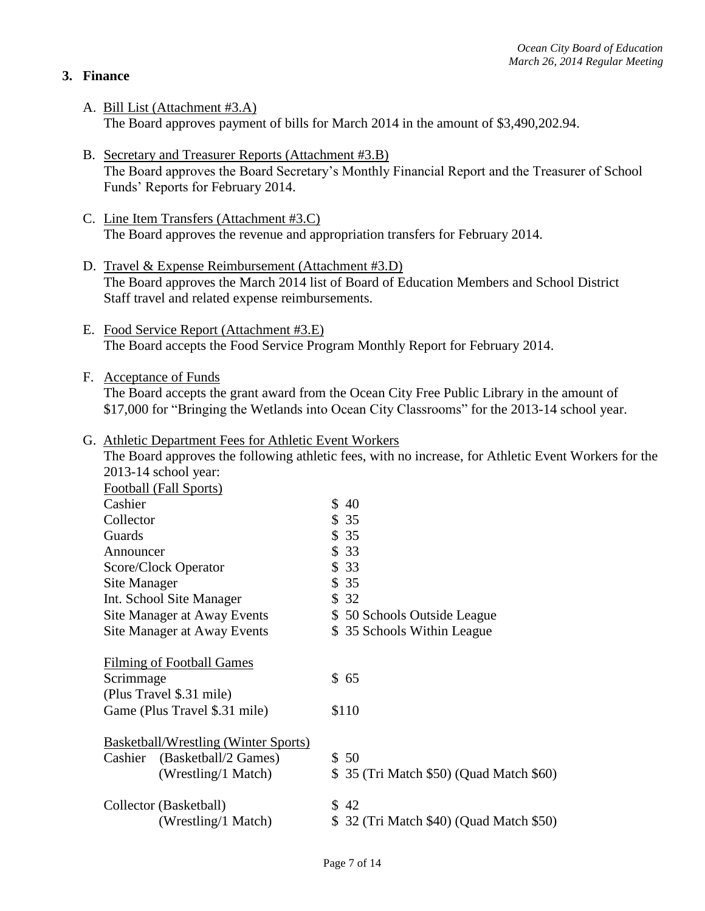## **3. Finance**

- A. Bill List (Attachment #3.A) The Board approves payment of bills for March 2014 in the amount of \$3,490,202.94.
- B. Secretary and Treasurer Reports (Attachment #3.B) The Board approves the Board Secretary's Monthly Financial Report and the Treasurer of School Funds' Reports for February 2014.
- C. Line Item Transfers (Attachment #3.C) The Board approves the revenue and appropriation transfers for February 2014.
- D. Travel & Expense Reimbursement (Attachment #3.D) The Board approves the March 2014 list of Board of Education Members and School District Staff travel and related expense reimbursements.
- E. Food Service Report (Attachment #3.E) The Board accepts the Food Service Program Monthly Report for February 2014.
- F. Acceptance of Funds

The Board accepts the grant award from the Ocean City Free Public Library in the amount of \$17,000 for "Bringing the Wetlands into Ocean City Classrooms" for the 2013-14 school year.

#### G. Athletic Department Fees for Athletic Event Workers

The Board approves the following athletic fees, with no increase, for Athletic Event Workers for the 2013-14 school year: Football (Fall Sports) Cashier \$ 40 Collector \$ 35 Guards \$ 35 Announcer \$ 33 Score/Clock Operator \$ 33<br>Site Manager \$ 35 Site Manager Int. School Site Manager \$ 32 Site Manager at Away Events \$ 50 Schools Outside League Site Manager at Away Events \$ 35 Schools Within League Filming of Football Games Scrimmage \$ 65 (Plus Travel \$.31 mile) Game (Plus Travel \$.31 mile) \$110 Basketball/Wrestling (Winter Sports) Cashier (Basketball/2 Games) \$ 50 (Wrestling/1 Match) \$ 35 (Tri Match \$50) (Quad Match \$60) Collector (Basketball) \$ 42 (Wrestling/1 Match) \$ 32 (Tri Match \$40) (Quad Match \$50)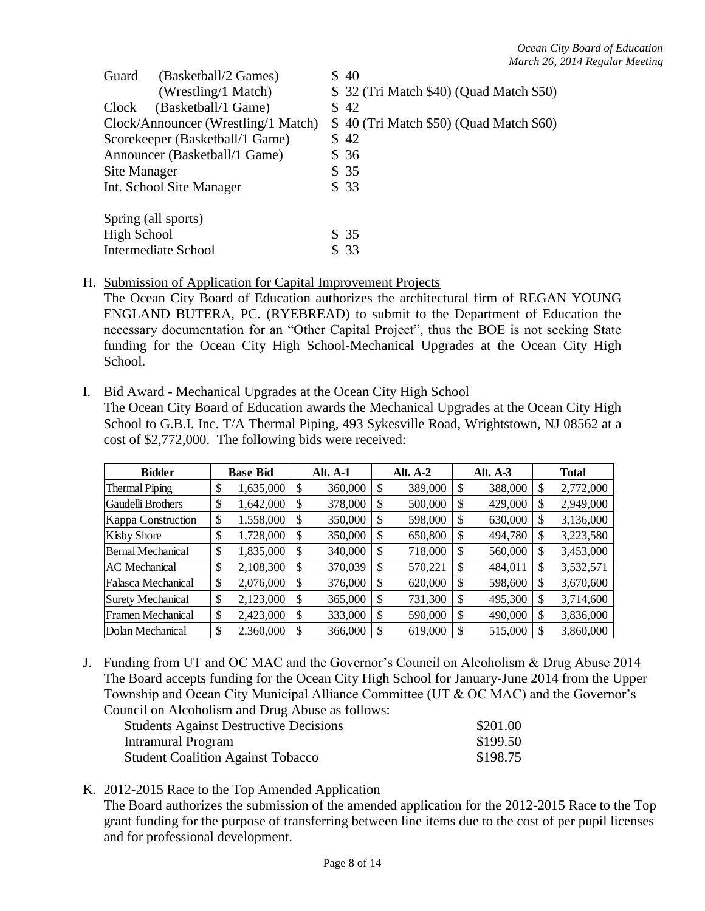| Guard        | (Basketball/2 Games)                | \$40                                     |
|--------------|-------------------------------------|------------------------------------------|
|              | (Wrestling/1 Match)                 | \$ 32 (Tri Match \$40) (Quad Match \$50) |
| Clock        | (Basketball/1 Game)                 | \$42                                     |
|              | Clock/Announcer (Wrestling/1 Match) | \$40 (Tri Match \$50) (Quad Match \$60)  |
|              | Scorekeeper (Basketball/1 Game)     | \$42                                     |
|              | Announcer (Basketball/1 Game)       | \$36                                     |
| Site Manager |                                     | \$35                                     |
|              | Int. School Site Manager            | \$33                                     |
|              | Spring (all sports)                 |                                          |
| High School  |                                     | \$35                                     |
|              | <b>Intermediate School</b>          | \$ 33                                    |

H. Submission of Application for Capital Improvement Projects

The Ocean City Board of Education authorizes the architectural firm of REGAN YOUNG ENGLAND BUTERA, PC. (RYEBREAD) to submit to the Department of Education the necessary documentation for an "Other Capital Project", thus the BOE is not seeking State funding for the Ocean City High School-Mechanical Upgrades at the Ocean City High School.

I. Bid Award - Mechanical Upgrades at the Ocean City High School

The Ocean City Board of Education awards the Mechanical Upgrades at the Ocean City High School to G.B.I. Inc. T/A Thermal Piping, 493 Sykesville Road, Wrightstown, NJ 08562 at a cost of \$2,772,000. The following bids were received:

| <b>Bidder</b>            |    | <b>Base Bid</b> |    | <b>Alt. A-1</b> |               | <b>Alt. A-2</b> | Alt. A-3      |    | <b>Total</b> |
|--------------------------|----|-----------------|----|-----------------|---------------|-----------------|---------------|----|--------------|
| <b>Thermal Piping</b>    | \$ | 1,635,000       | \$ | 360,000         | S             | 389,000         | \$<br>388,000 | \$ | 2,772,000    |
| <b>Gaudelli Brothers</b> | \$ | 1,642,000       | S  | 378,000         | <sup>\$</sup> | 500,000         | \$<br>429,000 | S  | 2,949,000    |
| Kappa Construction       | \$ | 1,558,000       | \$ | 350,000         | \$            | 598,000         | \$<br>630,000 | S  | 3,136,000    |
| <b>Kisby Shore</b>       | \$ | 1,728,000       | \$ | 350,000         | <sup>\$</sup> | 650,800         | \$<br>494,780 | \$ | 3,223,580    |
| <b>Bernal Mechanical</b> | \$ | 1,835,000       | S  | 340,000         | -S            | 718,000         | \$<br>560,000 | S  | 3,453,000    |
| <b>AC</b> Mechanical     | \$ | 2,108,300       | \$ | 370,039         | S             | 570,221         | \$<br>484,011 | \$ | 3,532,571    |
| Falasca Mechanical       | \$ | 2,076,000       | \$ | 376,000         | -S            | 620,000         | \$<br>598,600 | \$ | 3,670,600    |
| <b>Surety Mechanical</b> | \$ | 2,123,000       | \$ | 365,000         | <sup>\$</sup> | 731,300         | \$<br>495,300 | \$ | 3,714,600    |
| Framen Mechanical        | \$ | 2,423,000       | \$ | 333,000         | \$            | 590,000         | \$<br>490,000 | S  | 3,836,000    |
| Dolan Mechanical         | S  | 2,360,000       | S  | 366,000         | \$            | 619,000         | \$<br>515,000 | S  | 3,860,000    |

J. Funding from UT and OC MAC and the Governor's Council on Alcoholism & Drug Abuse 2014 The Board accepts funding for the Ocean City High School for January-June 2014 from the Upper Township and Ocean City Municipal Alliance Committee (UT & OC MAC) and the Governor's Council on Alcoholism and Drug Abuse as follows:

| <b>Students Against Destructive Decisions</b> | \$201.00 |
|-----------------------------------------------|----------|
| Intramural Program                            | \$199.50 |
| <b>Student Coalition Against Tobacco</b>      | \$198.75 |

### K. 2012-2015 Race to the Top Amended Application

The Board authorizes the submission of the amended application for the 2012-2015 Race to the Top grant funding for the purpose of transferring between line items due to the cost of per pupil licenses and for professional development.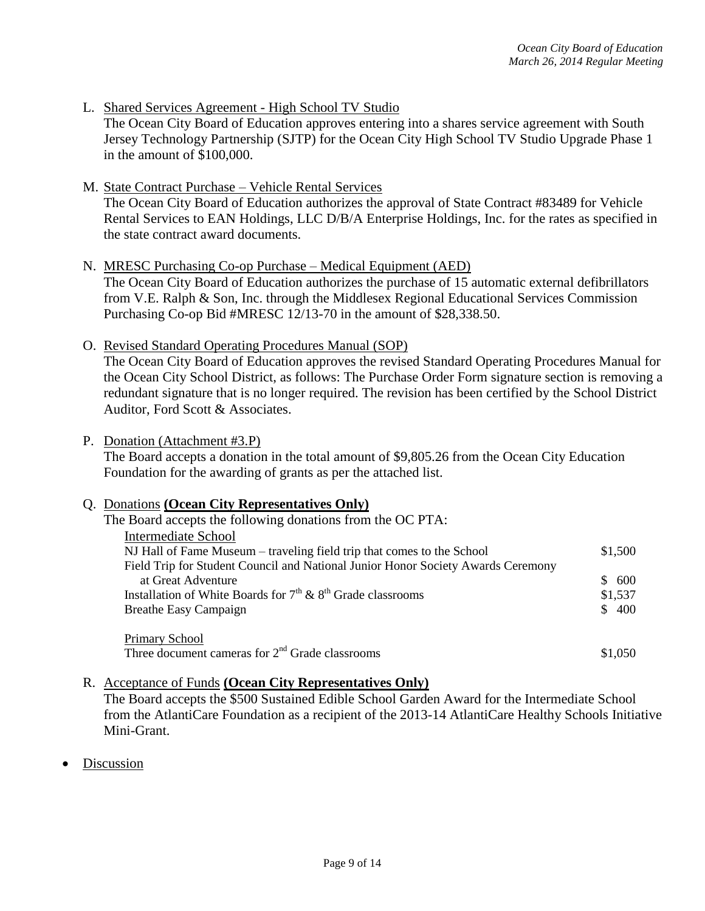- L. Shared Services Agreement High School TV Studio The Ocean City Board of Education approves entering into a shares service agreement with South Jersey Technology Partnership (SJTP) for the Ocean City High School TV Studio Upgrade Phase 1 in the amount of \$100,000.
- M. State Contract Purchase Vehicle Rental Services The Ocean City Board of Education authorizes the approval of State Contract #83489 for Vehicle Rental Services to EAN Holdings, LLC D/B/A Enterprise Holdings, Inc. for the rates as specified in the state contract award documents.
- N. MRESC Purchasing Co-op Purchase Medical Equipment (AED) The Ocean City Board of Education authorizes the purchase of 15 automatic external defibrillators from V.E. Ralph & Son, Inc. through the Middlesex Regional Educational Services Commission Purchasing Co-op Bid #MRESC 12/13-70 in the amount of \$28,338.50.
- O. Revised Standard Operating Procedures Manual (SOP) The Ocean City Board of Education approves the revised Standard Operating Procedures Manual for the Ocean City School District, as follows: The Purchase Order Form signature section is removing a redundant signature that is no longer required. The revision has been certified by the School District Auditor, Ford Scott & Associates.
- P. Donation (Attachment #3.P)

The Board accepts a donation in the total amount of \$9,805.26 from the Ocean City Education Foundation for the awarding of grants as per the attached list.

#### Q. Donations **(Ocean City Representatives Only)**

| The Board accepts the following donations from the OC PTA:                       |         |
|----------------------------------------------------------------------------------|---------|
| Intermediate School                                                              |         |
| NJ Hall of Fame Museum – traveling field trip that comes to the School           | \$1,500 |
| Field Trip for Student Council and National Junior Honor Society Awards Ceremony |         |
| at Great Adventure                                                               | \$600   |
| Installation of White Boards for $7th$ & $8th$ Grade classrooms                  | \$1,537 |
| <b>Breathe Easy Campaign</b>                                                     | \$400   |
| Primary School                                                                   |         |
| Three document cameras for $2nd$ Grade classrooms                                | \$1,050 |

R. Acceptance of Funds **(Ocean City Representatives Only)** 

The Board accepts the \$500 Sustained Edible School Garden Award for the Intermediate School from the AtlantiCare Foundation as a recipient of the 2013-14 AtlantiCare Healthy Schools Initiative Mini-Grant.

Discussion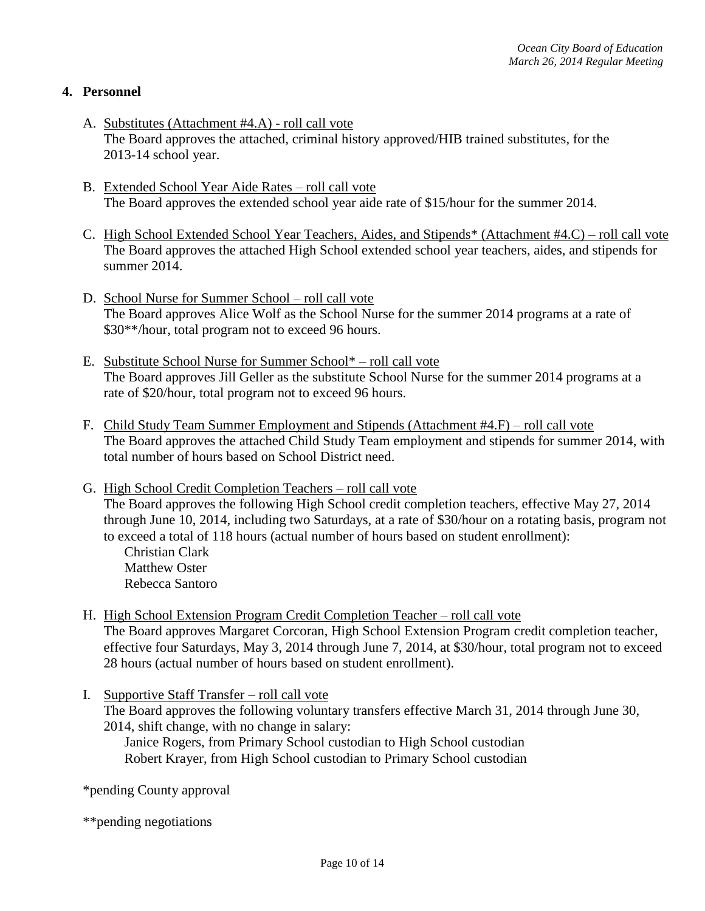## **4. Personnel**

- A. Substitutes (Attachment #4.A) roll call vote The Board approves the attached, criminal history approved/HIB trained substitutes, for the 2013-14 school year.
- B. Extended School Year Aide Rates roll call vote The Board approves the extended school year aide rate of \$15/hour for the summer 2014.
- C. High School Extended School Year Teachers, Aides, and Stipends\* (Attachment #4.C) roll call vote The Board approves the attached High School extended school year teachers, aides, and stipends for summer 2014.
- D. School Nurse for Summer School roll call vote The Board approves Alice Wolf as the School Nurse for the summer 2014 programs at a rate of \$30\*\*/hour, total program not to exceed 96 hours.
- E. Substitute School Nurse for Summer School\* roll call vote The Board approves Jill Geller as the substitute School Nurse for the summer 2014 programs at a rate of \$20/hour, total program not to exceed 96 hours.
- F. Child Study Team Summer Employment and Stipends (Attachment #4.F) roll call vote The Board approves the attached Child Study Team employment and stipends for summer 2014, with total number of hours based on School District need.
- G. High School Credit Completion Teachers roll call vote The Board approves the following High School credit completion teachers, effective May 27, 2014 through June 10, 2014, including two Saturdays, at a rate of \$30/hour on a rotating basis, program not to exceed a total of 118 hours (actual number of hours based on student enrollment):
	- Christian Clark Matthew Oster Rebecca Santoro
- H. High School Extension Program Credit Completion Teacher roll call vote The Board approves Margaret Corcoran, High School Extension Program credit completion teacher, effective four Saturdays, May 3, 2014 through June 7, 2014, at \$30/hour, total program not to exceed 28 hours (actual number of hours based on student enrollment).
- I. Supportive Staff Transfer roll call vote The Board approves the following voluntary transfers effective March 31, 2014 through June 30, 2014, shift change, with no change in salary:

Janice Rogers, from Primary School custodian to High School custodian Robert Krayer, from High School custodian to Primary School custodian

\*pending County approval

\*\*pending negotiations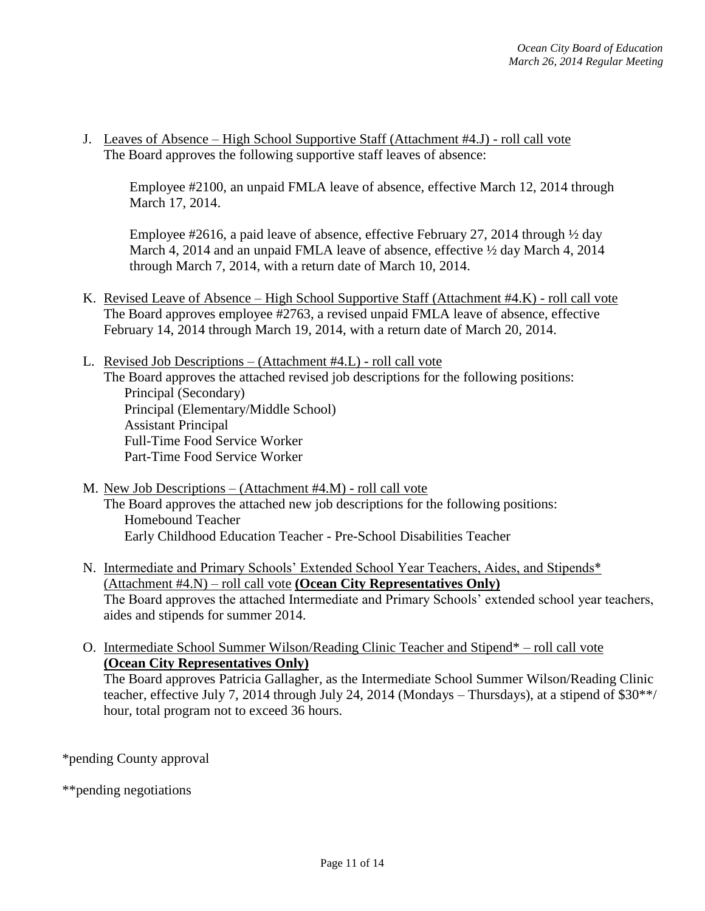J. Leaves of Absence – High School Supportive Staff (Attachment #4.J) - roll call vote The Board approves the following supportive staff leaves of absence:

Employee #2100, an unpaid FMLA leave of absence, effective March 12, 2014 through March 17, 2014.

Employee #2616, a paid leave of absence, effective February 27, 2014 through  $\frac{1}{2}$  day March 4, 2014 and an unpaid FMLA leave of absence, effective  $\frac{1}{2}$  day March 4, 2014 through March 7, 2014, with a return date of March 10, 2014.

- K. Revised Leave of Absence High School Supportive Staff (Attachment #4.K) roll call vote The Board approves employee #2763, a revised unpaid FMLA leave of absence, effective February 14, 2014 through March 19, 2014, with a return date of March 20, 2014.
- L. Revised Job Descriptions (Attachment #4.L) roll call vote The Board approves the attached revised job descriptions for the following positions: Principal (Secondary) Principal (Elementary/Middle School) Assistant Principal Full-Time Food Service Worker Part-Time Food Service Worker
- M. New Job Descriptions (Attachment #4.M) roll call vote The Board approves the attached new job descriptions for the following positions: Homebound Teacher Early Childhood Education Teacher - Pre-School Disabilities Teacher
- N. Intermediate and Primary Schools' Extended School Year Teachers, Aides, and Stipends\* (Attachment #4.N) – roll call vote **(Ocean City Representatives Only)** The Board approves the attached Intermediate and Primary Schools' extended school year teachers, aides and stipends for summer 2014.
- O. Intermediate School Summer Wilson/Reading Clinic Teacher and Stipend\* roll call vote **(Ocean City Representatives Only)**

The Board approves Patricia Gallagher, as the Intermediate School Summer Wilson/Reading Clinic teacher, effective July 7, 2014 through July 24, 2014 (Mondays – Thursdays), at a stipend of \$30\*\*/ hour, total program not to exceed 36 hours.

\*pending County approval

\*\*pending negotiations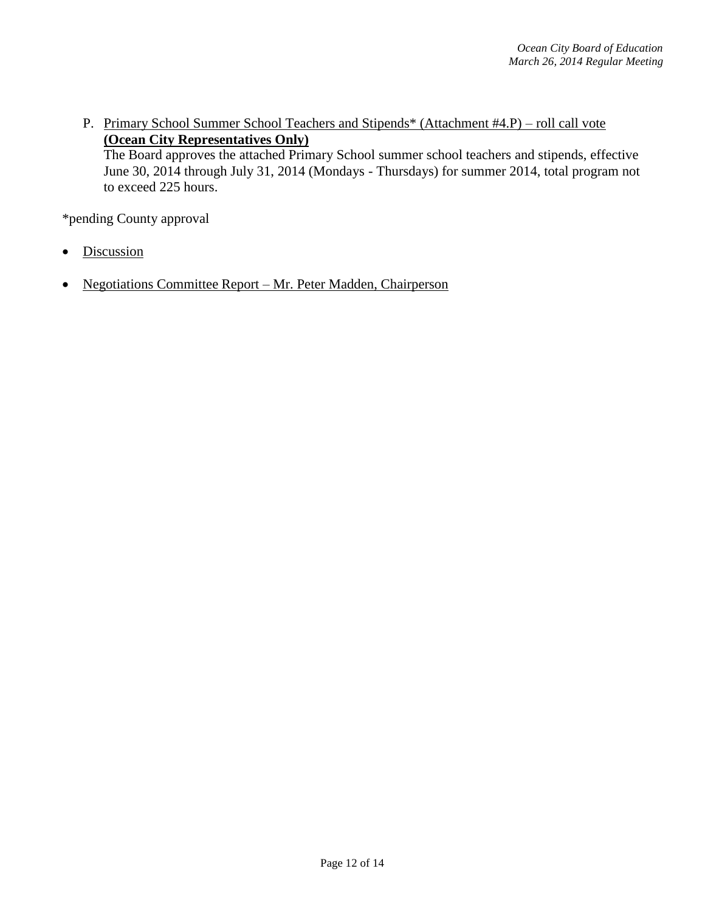P. Primary School Summer School Teachers and Stipends\* (Attachment #4.P) – roll call vote **(Ocean City Representatives Only)** The Board approves the attached Primary School summer school teachers and stipends, effective June 30, 2014 through July 31, 2014 (Mondays - Thursdays) for summer 2014, total program not to exceed 225 hours.

\*pending County approval

- **Discussion**
- Negotiations Committee Report Mr. Peter Madden, Chairperson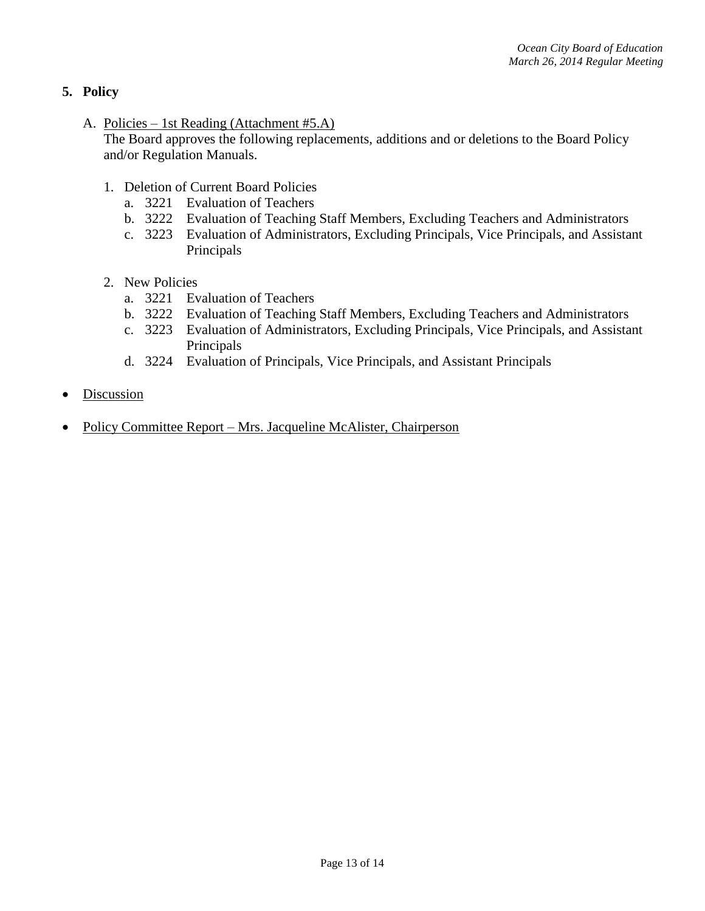# **5. Policy**

A. Policies – 1st Reading (Attachment #5.A)

The Board approves the following replacements, additions and or deletions to the Board Policy and/or Regulation Manuals.

- 1. Deletion of Current Board Policies
	- a. 3221 Evaluation of Teachers
	- b. 3222 Evaluation of Teaching Staff Members, Excluding Teachers and Administrators
	- c. 3223 Evaluation of Administrators, Excluding Principals, Vice Principals, and Assistant Principals
- 2. New Policies
	- a. 3221 Evaluation of Teachers
	- b. 3222 Evaluation of Teaching Staff Members, Excluding Teachers and Administrators
	- c. 3223 Evaluation of Administrators, Excluding Principals, Vice Principals, and Assistant Principals
	- d. 3224 Evaluation of Principals, Vice Principals, and Assistant Principals
- Discussion
- Policy Committee Report Mrs. Jacqueline McAlister, Chairperson